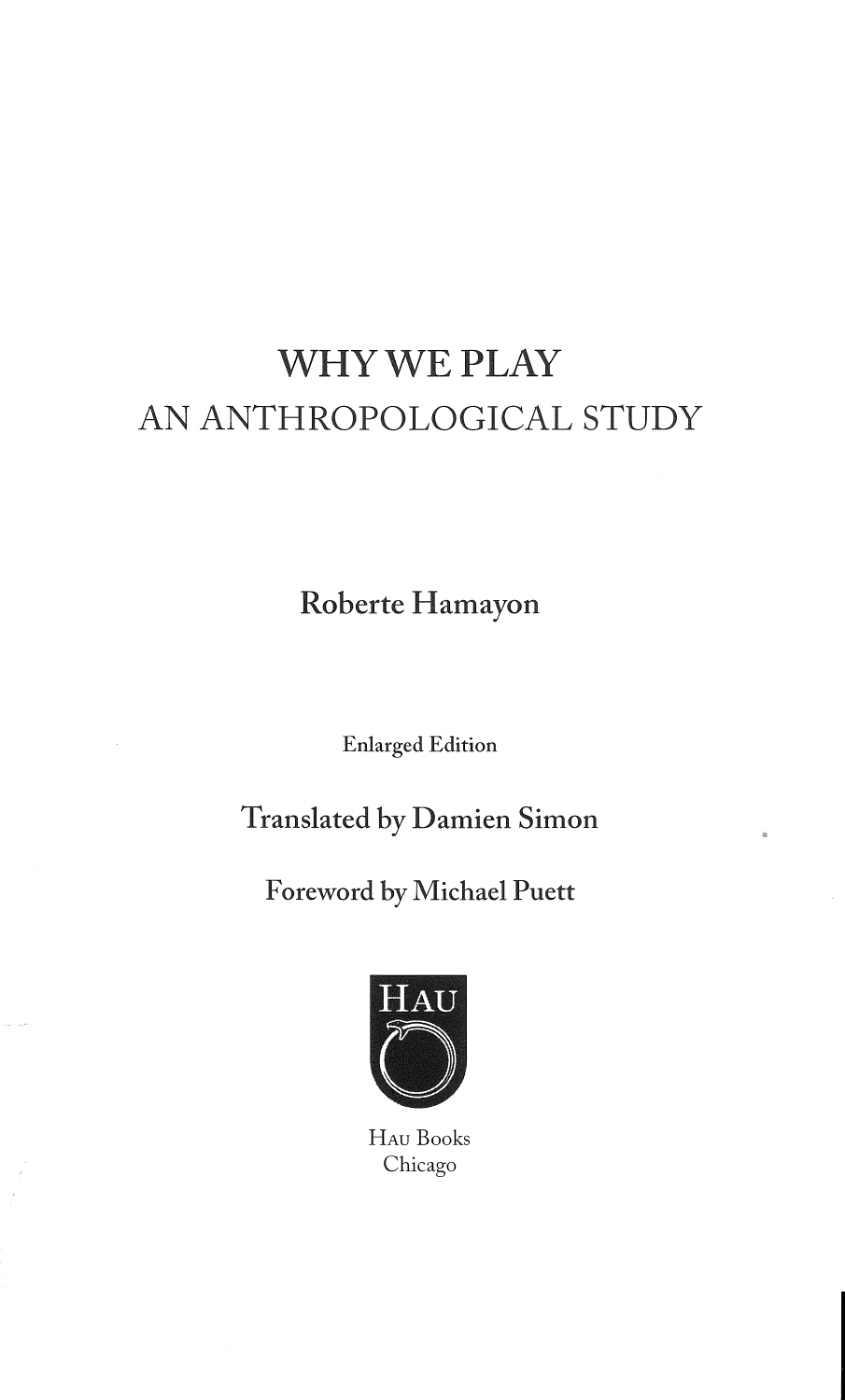## **WHY WE PLAY** AN ANTHROPOLOGICAL STUDY

Roberte Hamayon

Enlarged Edition

Translated by Damien Simon

Foreword by Michael Puett



HAu Books Chicago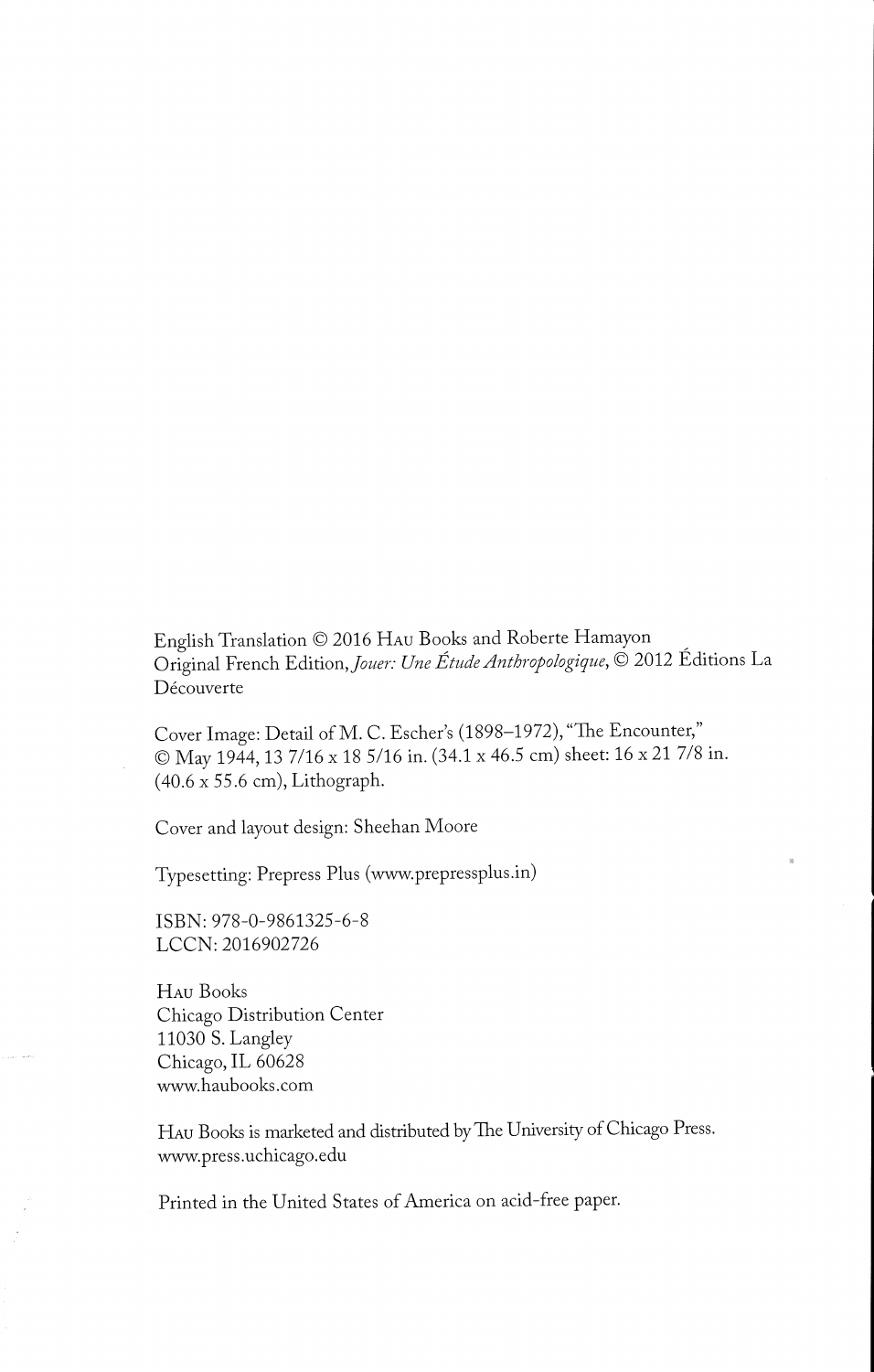English Translation © 2016 HAU Books and Roberte Hamayon Original French Edition, Jouer: Une Étude Anthropologique, © 2012 Éditions La Découverte

Cover Image: Detail of M. C. Escher's (1898-1972), "The Encounter," May 1944, 13 7/16 x 18 5/16 in. (34.1x46.5 cm) sheet: 16 x 21 7/8 in.  $(40.6 \times 55.6 \text{ cm})$ , Lithograph.

Cover and layout design: Sheehan Moore

Typesetting: Prepress Plus (www.prepressplus.in)

ISBN: 978-0-9861325-6-8 LCCN: 2016902726

HAU Books Chicago Distribution Center 11030 S. Langley Chicago, IL 60628 www.haubooks.com

HAU Books is marketed and distributed by The University of Chicago Press. www.press.uchicago. du

Printed in the United States of America on acid-free paper.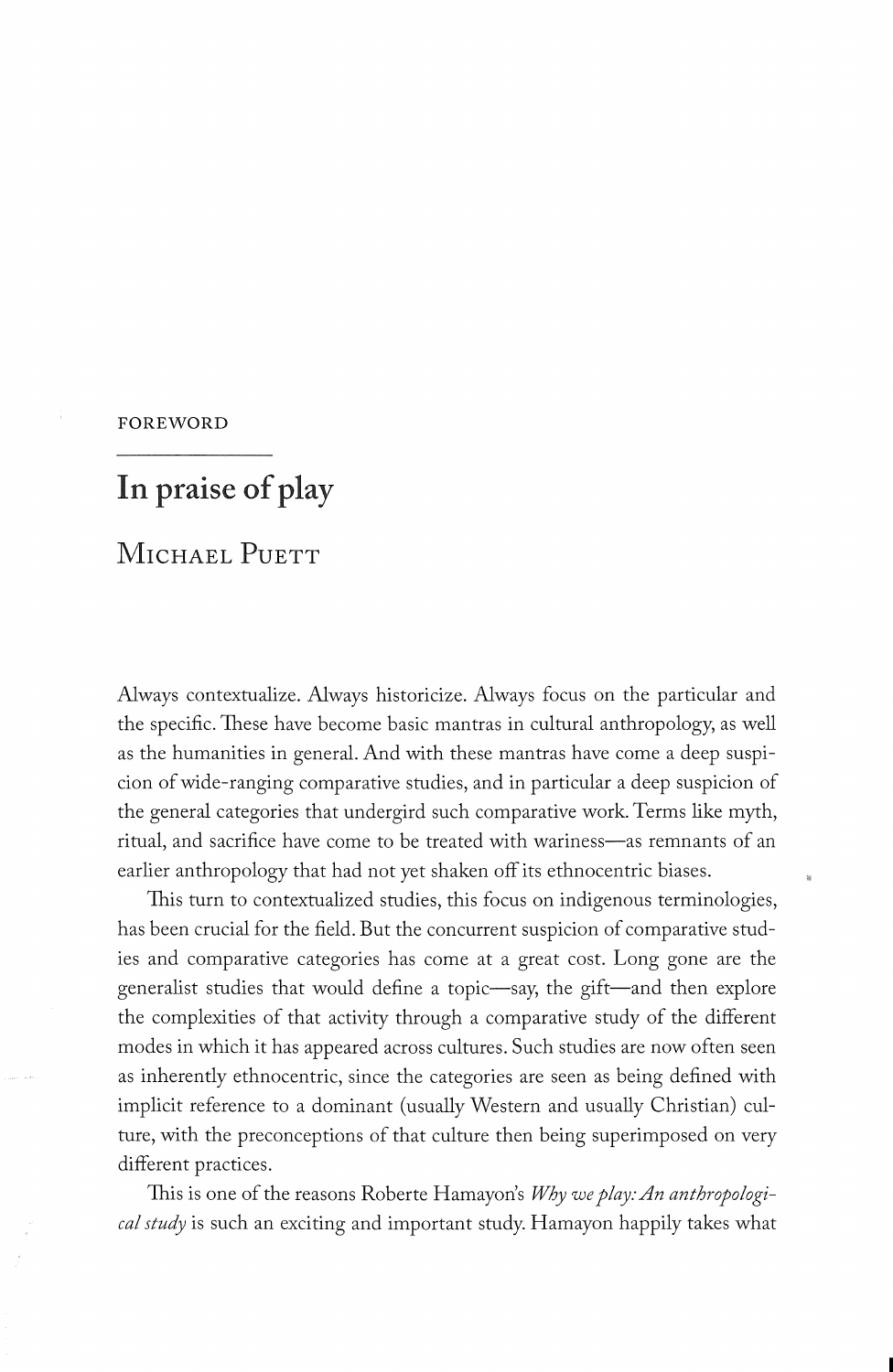## FOREWORD

## In praise of play

MICHAEL PUETT

Always contextualize. Always historicize. Always focus on the particular and the specific. These have become basic mantras in cultural anthropology, as well as the humanities in general. And with these mantras have come a deep suspicion of wide-ranging comparative studies, and in particular a deep suspicion of the general categories that undergird such comparative work. Terms like myth, ritual, and sacrifice have come to be treated with wariness-as remnants of an earlier anthropology that had not yet shaken off its ethnocentric biases.

This turn to contextualized studies, this focus on indigenous terminologies, has been crucial for the field. But the concurrent suspicion of comparative studies and comparative categories has come at a great cost. Long gone are the generalist studies that would define a topic-say, the gift-and then explore the complexities of that activity through a comparative study of the different modes in which it has appeared across cultures. Such studies are now often seen as inherently ethnocentric, since the categories are seen as being defined with implicit reference to a dominant (usually Nestern and usually Christian) culture, with the preconceptions of that culture then being superimposed on very different practices.

This is one of the reasons Roberte Hamayon's *Why we play: An anthropological study* is such an exciting and important study. Hamayon happily takes what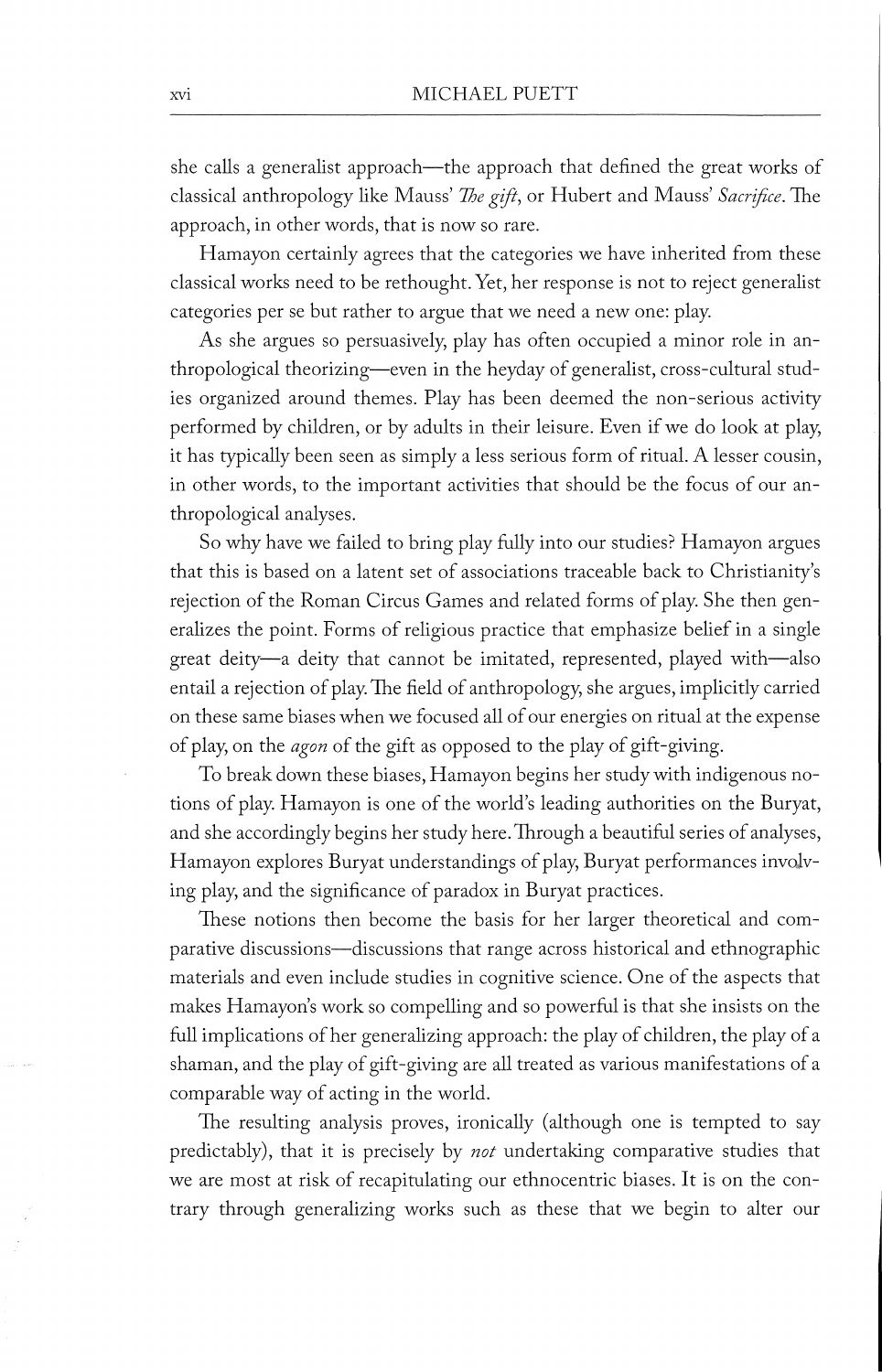she calls a generalist approach-the approach that defined the great works of classical anthropology like Mauss' *The gift*, or Hubert and Mauss' Sacrifice. The approach, in other words, that is now so rare.

Hamayon certainly agrees that the categories we have inherited from these classical works need to be rethought. Yet, her response is not to reject generalist categories per se but rather to argue that *we* need a new one: play.

As she argues so persuasively, play has often occupied a minor role in anthropological theorizing-even in the heyday of generalist, cross-cultural studies organized around themes. Play has been deemed the non-serious activity performed by children, or by adults in their leisure. Even if we do look at play, it has typically been seen as simply a less serious form of ritual. A lesser cousin, in other words, to the important activities that should be the focus of our anthropological analyses.

So why have we failed to bring play fully into our studies? Hamayon argues that this is based on a latent set of associations traceable back to Christianity's rejection of the Roman Circus Games and related forms of play. She then generalizes the point. Forms of religious practice that emphasize belief in a single great deity-a deity that cannot be imitated, represented, played with-also entail a rejection of play. The field of anthropology, she argues, implicitly carried on these same biases when we focused all of our energies on ritual at the expense of play, on the *agon* of the gift as opposed to the play of gift-giving.

To break down these biases, Hamayon begins her study with indigenous notions of play. Hamayon is one of the world's leading authorities on the Buryat, and she accordingly begins her study here. Through a beautiful series of analyses, Hamayon explores Buryat understandings of play, Buryat performances involving play, and the significance of paradox in Buryat practices.

These notions then become the basis for her larger theoretical and comparative discussions-discussions that range across historical and ethnographic materials and even include studies in cognitive science. One of the aspects that makes Hamayon's work so compelling and so powerful is that she insists on the full implications of her generalizing approach: the play of children, the play of a shaman, and the play of gift-giving are all treated as various manifestations of a comparable way of acting in the world.

The resulting analysis proves, ironically (although one is tempted to say predictably), that it is precisely by not undertaking comparative studies that we are most at risk of recapitulating our ethnocentric biases. It is on the contrary through generalizing works such as these that we begin to alter our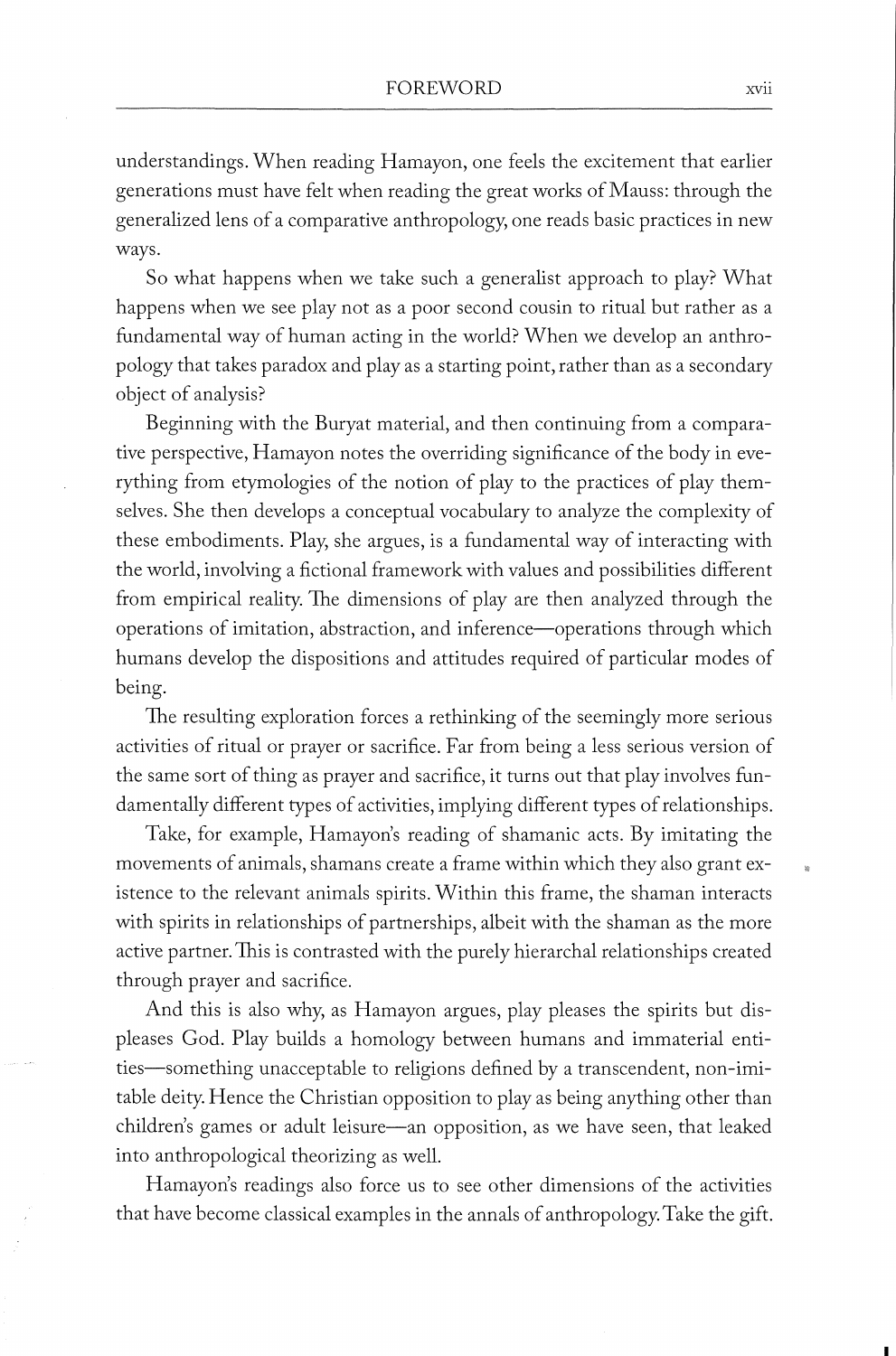understandings. When reading Hamayon, one feels the excitement that earlier generations must have felt when reading the great works of Mauss: through the generalized lens of a comparative anthropology, one reads basic practices in new ways.

So what happens when we take such a generalist approach to play? What happens when we see play not as a poor second cousin to ritual but rather as a fundamental way of human acting in the world? When we develop an anthropology that takes paradox and play as a starting point, rather than as a secondary object of analysis?

Beginning with the Buryat material, and then continuing from a comparative perspective, Hamayon notes the overriding significance of the body in everything from etymologies of the notion of play to the practices of play themselves. She then develops a conceptual vocabulary to analyze the complexity of these embodiments. Play, she argues, is a fundamental way of interacting with the world, involving a fictional framework with values and possibilities different from empirical reality. The dimensions of play are then analyzed through the operations of imitation, abstraction, and inference—operations through which humans develop the dispositions and attitudes required of particular modes of being.

The resulting exploration forces a rethinking of the seemingly more serious activities of ritual or prayer or sacrifice. Far from being a less serious version of the same sort of thing as prayer and sacrifice, it turns out that play involves fundamentally different types of activities, implying different types of relationships.

Take, for example, Hamayon's reading of shamanic acts. By imitating the movements of animals, shamans create a frame within which they also grant existence to the relevant animals spirits. Within this frame, the shaman interacts with spirits in relationships of partnerships, albeit with the shaman as the more active partner. This is contrasted with the purely hierarchal relationships created through prayer and sacrifice.

And this is also why, as Hamayon argues, play pleases the spirits but displeases God. Play builds a homology between humans and immaterial entities—something unacceptable to religions defined by a transcendent, non-imitable deity. Hence the Christian opposition to play as being anything other than children's games or adult leisure—an opposition, as we have seen, that leaked into anthropological theorizing as well.

Hamayon's readings also force us to see other dimensions of the activities that have become classical examples in the annals of anthropology. Take the gift.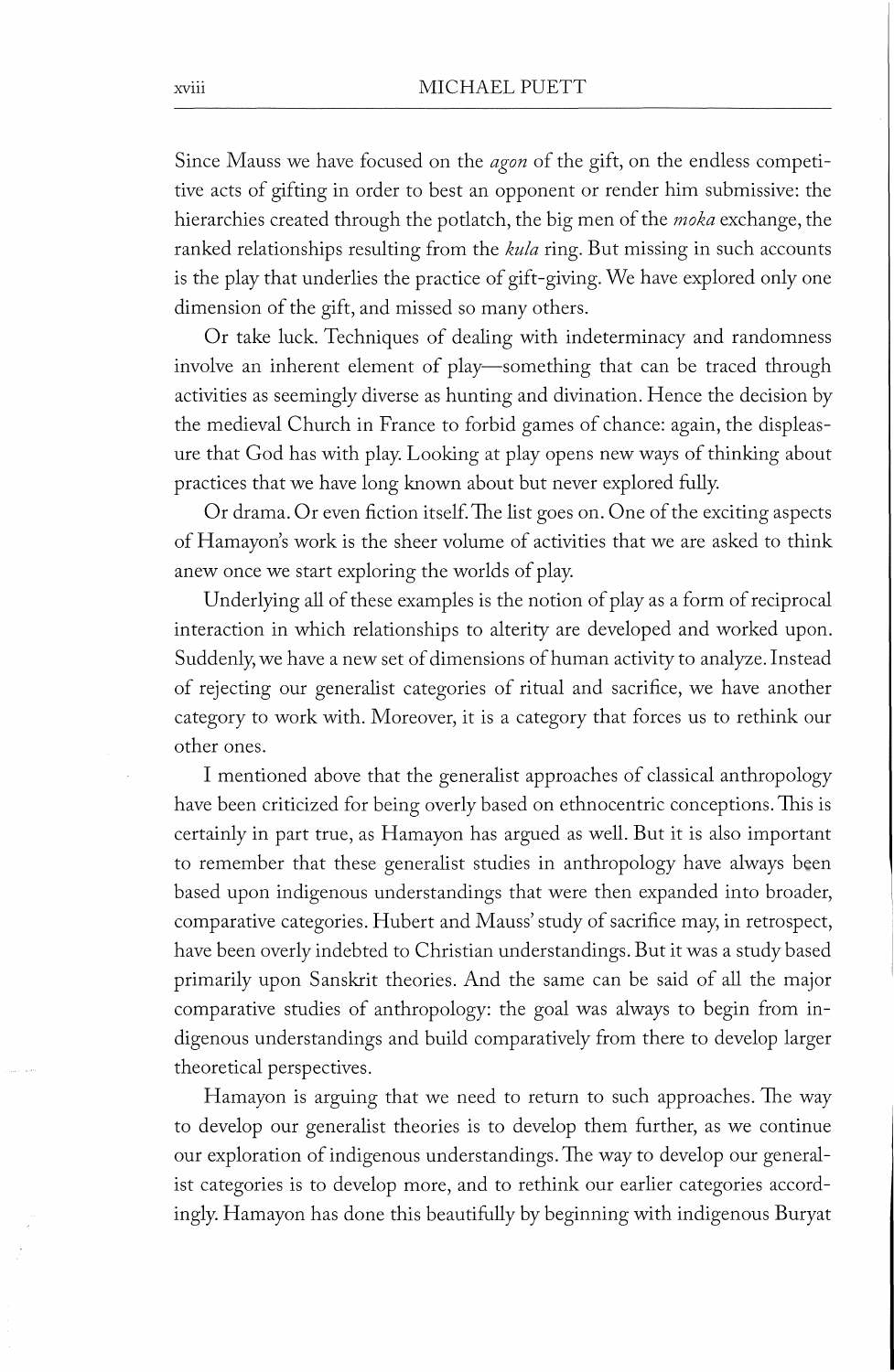Since Mauss we have focused on the *agon* of the gift, on the endless competitive acts of gifting in order to best an opponent or render him submissive: the hierarchies created through the potlatch, the big men of the *moka* exchange, the ranked relationships resulting from the *kula* ring. But missing in such accounts is the play that underlies the practice of gift-giving. We have explored only one dimension of the gift, and missed so many others.

Or take luck. Techniques of dealing with indeterminacy and randomness involve an inherent element of play-something that can be traced through activities as seemingly diverse as hunting and divination. Hence the decision by the medieval Church in France to forbid games of chance: again, the displeasure that God has with play. Looking at play opens new ways of thinking about practices that we have long known about but never explored fully.

Or drama. Or even fiction itself. The list goes on. One of the exciting aspects of Hamayon's work is the sheer volume of activities that we are asked to think anew once we start exploring the worlds of play.

Underlying all of these examples is the notion of play as a form of reciprocal interaction in which relationships to alterity are developed and worked upon. Suddenly, we have a new set of dimensions of human activity to analyze. Instead of rejecting our generalist categories of ritual and sacrifice, we have another category to work with. Moreover, it is a category that forces us to rethink our other ones.

I mentioned above that the generalist approaches of classical anthropology have been criticized for being overly based on ethnocentric conceptions. This is certainly in part true, as Hamayon has argued as well. But it is also important to remember that these generalist studies in anthropology have always been based upon indigenous understandings that were then expanded into broader, comparative categories. Hubert and Mauss' study of sacrifice may, in retrospect, have been overly indebted to Christian understandings. But it was a study based primarily upon Sanskrit theories. And the same can be said of all the major comparative studies of anthropology: the goal was always to begin from indigenous understandings and build comparatively from there to develop larger theoretical perspectives.

Hamayon is arguing that we need to return to such approaches. The way to develop our generalist theories is to develop them further, as we continue our exploration of indigenous understandings. The way to develop our generalist categories is to develop more, and to rethink our earlier categories accordingly. Hamayon has done this beautifully by beginning with indigenous Buryat